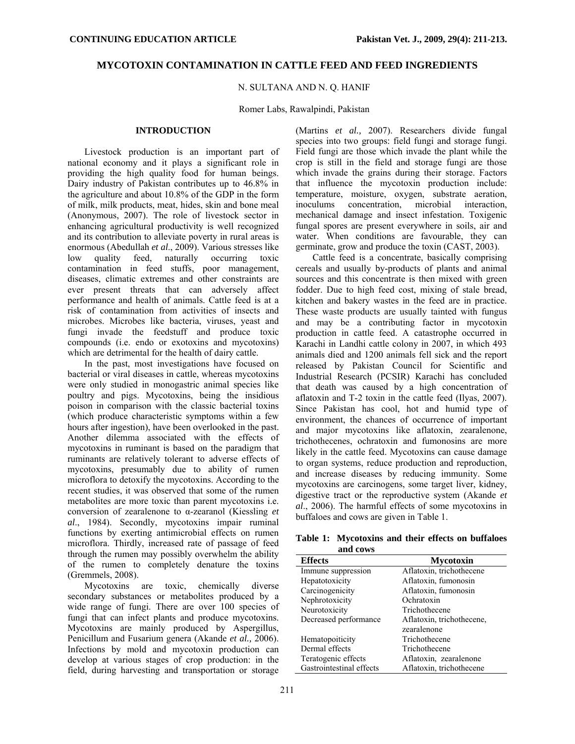# **MYCOTOXIN CONTAMINATION IN CATTLE FEED AND FEED INGREDIENTS**

## N. SULTANA AND N. Q. HANIF

## Romer Labs, Rawalpindi, Pakistan

## **INTRODUCTION**

Livestock production is an important part of national economy and it plays a significant role in providing the high quality food for human beings. Dairy industry of Pakistan contributes up to 46.8% in the agriculture and about 10.8% of the GDP in the form of milk, milk products, meat, hides, skin and bone meal (Anonymous, 2007). The role of livestock sector in enhancing agricultural productivity is well recognized and its contribution to alleviate poverty in rural areas is enormous (Abedullah *et al*., 2009). Various stresses like low quality feed, naturally occurring toxic contamination in feed stuffs, poor management, diseases, climatic extremes and other constraints are ever present threats that can adversely affect performance and health of animals. Cattle feed is at a risk of contamination from activities of insects and microbes. Microbes like bacteria, viruses, yeast and fungi invade the feedstuff and produce toxic compounds (i.e. endo or exotoxins and mycotoxins) which are detrimental for the health of dairy cattle.

In the past, most investigations have focused on bacterial or viral diseases in cattle, whereas mycotoxins were only studied in monogastric animal species like poultry and pigs. Mycotoxins, being the insidious poison in comparison with the classic bacterial toxins (which produce characteristic symptoms within a few hours after ingestion), have been overlooked in the past. Another dilemma associated with the effects of mycotoxins in ruminant is based on the paradigm that ruminants are relatively tolerant to adverse effects of mycotoxins, presumably due to ability of rumen microflora to detoxify the mycotoxins. According to the recent studies, it was observed that some of the rumen metabolites are more toxic than parent mycotoxins i.e. conversion of zearalenone to α-zearanol (Kiessling *et al*., 1984). Secondly, mycotoxins impair ruminal functions by exerting antimicrobial effects on rumen microflora. Thirdly, increased rate of passage of feed through the rumen may possibly overwhelm the ability of the rumen to completely denature the toxins (Gremmels, 2008).

Mycotoxins are toxic, chemically diverse secondary substances or metabolites produced by a wide range of fungi. There are over 100 species of fungi that can infect plants and produce mycotoxins. Mycotoxins are mainly produced by Aspergillus, Penicillum and Fusarium genera (Akande *et al.,* 2006). Infections by mold and mycotoxin production can develop at various stages of crop production: in the field, during harvesting and transportation or storage

(Martins *et al.,* 2007). Researchers divide fungal species into two groups: field fungi and storage fungi. Field fungi are those which invade the plant while the crop is still in the field and storage fungi are those which invade the grains during their storage. Factors that influence the mycotoxin production include: temperature, moisture, oxygen, substrate aeration, inoculums concentration, microbial interaction, mechanical damage and insect infestation. Toxigenic fungal spores are present everywhere in soils, air and water. When conditions are favourable, they can germinate, grow and produce the toxin (CAST, 2003).

Cattle feed is a concentrate, basically comprising cereals and usually by-products of plants and animal sources and this concentrate is then mixed with green fodder. Due to high feed cost, mixing of stale bread, kitchen and bakery wastes in the feed are in practice. These waste products are usually tainted with fungus and may be a contributing factor in mycotoxin production in cattle feed. A catastrophe occurred in Karachi in Landhi cattle colony in 2007, in which 493 animals died and 1200 animals fell sick and the report released by Pakistan Council for Scientific and Industrial Research (PCSIR) Karachi has concluded that death was caused by a high concentration of aflatoxin and T-2 toxin in the cattle feed (Ilyas, 2007). Since Pakistan has cool, hot and humid type of environment, the chances of occurrence of important and major mycotoxins like aflatoxin, zearalenone, trichothecenes, ochratoxin and fumonosins are more likely in the cattle feed. Mycotoxins can cause damage to organ systems, reduce production and reproduction, and increase diseases by reducing immunity. Some mycotoxins are carcinogens, some target liver, kidney, digestive tract or the reproductive system (Akande *et al*., 2006). The harmful effects of some mycotoxins in buffaloes and cows are given in Table 1.

**Table 1: Mycotoxins and their effects on buffaloes and cows** 

| <b>Effects</b>           | <b>Mycotoxin</b>          |
|--------------------------|---------------------------|
| Immune suppression       | Aflatoxin, trichothecene  |
| Hepatotoxicity           | Aflatoxin, fumonosin      |
| Carcinogenicity          | Aflatoxin, fumonosin      |
| Nephrotoxicity           | Ochratoxin                |
| Neurotoxicity            | Trichothecene             |
| Decreased performance    | Aflatoxin, trichothecene, |
|                          | zearalenone               |
| Hematopoiticity          | Trichothecene             |
| Dermal effects           | Trichothecene             |
| Teratogenic effects      | Aflatoxin, zearalenone    |
| Gastrointestinal effects | Aflatoxin, trichothecene  |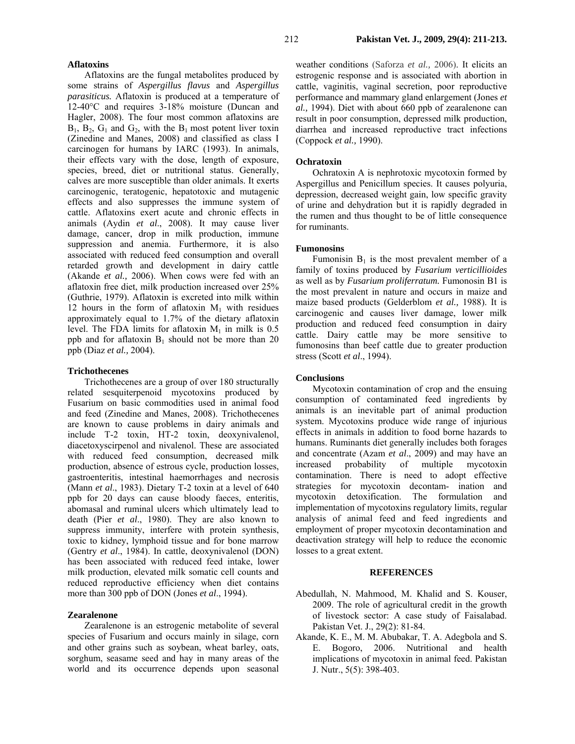### **Aflatoxins**

Aflatoxins are the fungal metabolites produced by some strains of *Aspergillus flavus* and *Aspergillus parasiticus.* Aflatoxin is produced at a temperature of 12-40°C and requires 3-18% moisture (Duncan and Hagler, 2008). The four most common aflatoxins are  $B_1$ ,  $B_2$ ,  $G_1$  and  $G_2$ , with the  $B_1$  most potent liver toxin (Zinedine and Manes, 2008) and classified as class I carcinogen for humans by IARC (1993). In animals, their effects vary with the dose, length of exposure, species, breed, diet or nutritional status. Generally, calves are more susceptible than older animals. It exerts carcinogenic, teratogenic, hepatotoxic and mutagenic effects and also suppresses the immune system of cattle. Aflatoxins exert acute and chronic effects in animals (Aydin *et al*., 2008). It may cause liver damage, cancer, drop in milk production, immune suppression and anemia. Furthermore, it is also associated with reduced feed consumption and overall retarded growth and development in dairy cattle (Akande *et al.,* 2006). When cows were fed with an aflatoxin free diet, milk production increased over 25% (Guthrie, 1979). Aflatoxin is excreted into milk within 12 hours in the form of aflatoxin  $M_1$  with residues approximately equal to 1.7% of the dietary aflatoxin level. The FDA limits for aflatoxin  $M_1$  in milk is 0.5 ppb and for aflatoxin  $B_1$  should not be more than 20 ppb (Diaz *et al.,* 2004).

#### **Trichothecenes**

Trichothecenes are a group of over 180 structurally related sesquiterpenoid mycotoxins produced by Fusarium on basic commodities used in animal food and feed (Zinedine and Manes, 2008). Trichothecenes are known to cause problems in dairy animals and include T-2 toxin, HT-2 toxin, deoxynivalenol, diacetoxyscirpenol and nivalenol. These are associated with reduced feed consumption, decreased milk production, absence of estrous cycle, production losses, gastroenteritis, intestinal haemorrhages and necrosis (Mann *et al*., 1983). Dietary T-2 toxin at a level of 640 ppb for 20 days can cause bloody faeces, enteritis, abomasal and ruminal ulcers which ultimately lead to death (Pier *et al*., 1980). They are also known to suppress immunity, interfere with protein synthesis, toxic to kidney, lymphoid tissue and for bone marrow (Gentry *et al*., 1984). In cattle, deoxynivalenol (DON) has been associated with reduced feed intake, lower milk production, elevated milk somatic cell counts and reduced reproductive efficiency when diet contains more than 300 ppb of DON (Jones *et al*., 1994).

## **Zearalenone**

Zearalenone is an estrogenic metabolite of several species of Fusarium and occurs mainly in silage, corn and other grains such as soybean, wheat barley, oats, sorghum, seasame seed and hay in many areas of the world and its occurrence depends upon seasonal

weather conditions (Saforza *et al.,* 2006). It elicits an estrogenic response and is associated with abortion in cattle, vaginitis, vaginal secretion, poor reproductive performance and mammary gland enlargement (Jones *et al.,* 1994). Diet with about 660 ppb of zearalenone can result in poor consumption, depressed milk production, diarrhea and increased reproductive tract infections (Coppock *et al.,* 1990).

#### **Ochratoxin**

Ochratoxin A is nephrotoxic mycotoxin formed by Aspergillus and Penicillum species. It causes polyuria, depression, decreased weight gain, low specific gravity of urine and dehydration but it is rapidly degraded in the rumen and thus thought to be of little consequence for ruminants.

## **Fumonosins**

Fumonisin  $B_1$  is the most prevalent member of a family of toxins produced by *Fusarium verticillioides* as well as by *Fusarium proliferratum.* Fumonosin B1 is the most prevalent in nature and occurs in maize and maize based products (Gelderblom *et al.,* 1988). It is carcinogenic and causes liver damage, lower milk production and reduced feed consumption in dairy cattle. Dairy cattle may be more sensitive to fumonosins than beef cattle due to greater production stress (Scott *et al*., 1994).

### **Conclusions**

Mycotoxin contamination of crop and the ensuing consumption of contaminated feed ingredients by animals is an inevitable part of animal production system. Mycotoxins produce wide range of injurious effects in animals in addition to food borne hazards to humans. Ruminants diet generally includes both forages and concentrate (Azam *et al*., 2009) and may have an increased probability of multiple mycotoxin contamination. There is need to adopt effective strategies for mycotoxin decontam- ination and mycotoxin detoxification. The formulation and implementation of mycotoxins regulatory limits, regular analysis of animal feed and feed ingredients and employment of proper mycotoxin decontamination and deactivation strategy will help to reduce the economic losses to a great extent.

#### **REFERENCES**

- Abedullah, N. Mahmood, M. Khalid and S. Kouser, 2009. The role of agricultural credit in the growth of livestock sector: A case study of Faisalabad. Pakistan Vet. J., 29(2): 81-84.
- Akande, K. E., M. M. Abubakar, T. A. Adegbola and S. E. Bogoro, 2006. Nutritional and health implications of mycotoxin in animal feed. Pakistan J. Nutr., 5(5): 398-403.